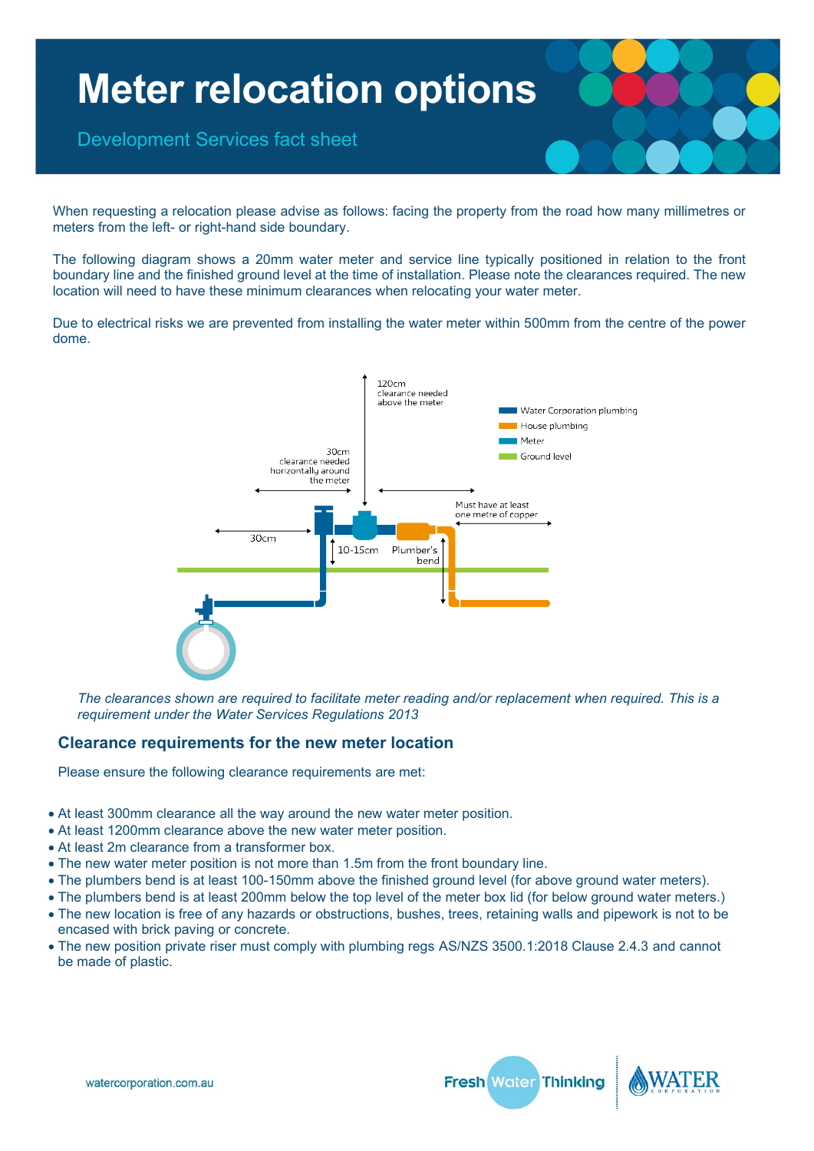

When requesting a relocation please advise as follows: facing the property from the road how many millimetres or meters from the left- or right-hand side boundary.

The following diagram shows a 20mm water meter and service line typically positioned in relation to the front boundary line and the finished ground level at the time of installation. Please note the clearances required. The new location will need to have these minimum clearances when relocating your water meter.

Due to electrical risks we are prevented from installing the water meter within 500mm from the centre of the power dome.



*The clearances shown are required to facilitate meter reading and/or replacement when required. This is a requirement under the Water Services Regulations 2013*

#### **Clearance requirements for the new meter location**

Please ensure the following clearance requirements are met:

- At least 300mm clearance all the way around the new water meter position.
- At least 1200mm clearance above the new water meter position.
- At least 2m clearance from a transformer box.
- The new water meter position is not more than 1.5m from the front boundary line.
- The plumbers bend is at least 100-150mm above the finished ground level (for above ground water meters).
- The plumbers bend is at least 200mm below the top level of the meter box lid (for below ground water meters.)
- The new location is free of any hazards or obstructions, bushes, trees, retaining walls and pipework is not to be encased with brick paving or concrete.
- The new position private riser must comply with plumbing regs AS/NZS 3500.1:2018 Clause 2.4.3 and cannot be made of plastic.



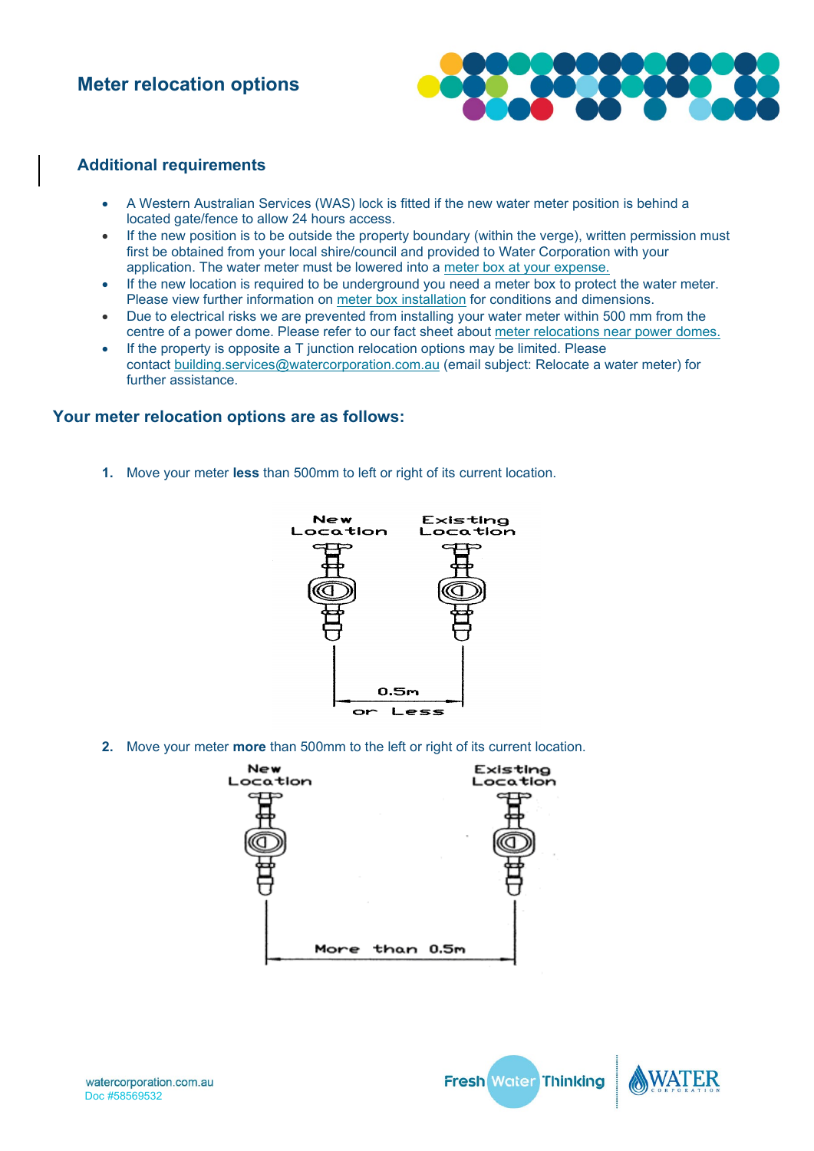

### **Additional requirements**

- A Western Australian Services (WAS) lock is fitted if the new water meter position is behind a located gate/fence to allow 24 hours access.
- If the new position is to be outside the property boundary (within the verge), written permission must first be obtained from your local shire/council and provided to Water Corporation with your application. The water meter must be lowered into a [meter box at your expense.](https://www.watercorporation.com.au/Developing-and-building/Applying-for-services/New-water-services/Meter-boxes)
- If the new location is required to be underground you need a meter box to protect the water meter. Please view further information on [meter box installation](https://www.watercorporation.com.au/Developing-and-building/Building/New-water-services/Meter-boxes) for conditions and dimensions.
- Due to electrical risks we are prevented from installing your water meter within 500 mm from the centre of a power dome. Please refer to our fact sheet about [meter relocations near power domes.](https://pw-cdn.watercorporation.com.au/-/media/WaterCorp/Documents/Developing-and-Building/Building/Meter-relocation-near-power-domes.pdf?rev=2b2c1fc4ff7a4b2f83f0967ec1bb0b9f&hash=D84C8ABB4F55E3414EB37C2A8BDA19FD)
- If the property is opposite a T junction relocation options may be limited. Please contact [building.services@watercorporation.com.au](mailto:building.services@watercorporation.com.au) (email subject: Relocate a water meter) for further assistance.

### **Your meter relocation options are as follows:**

**1.** Move your meter **less** than 500mm to left or right of its current location.



**2.** Move your meter **more** than 500mm to the left or right of its current location.





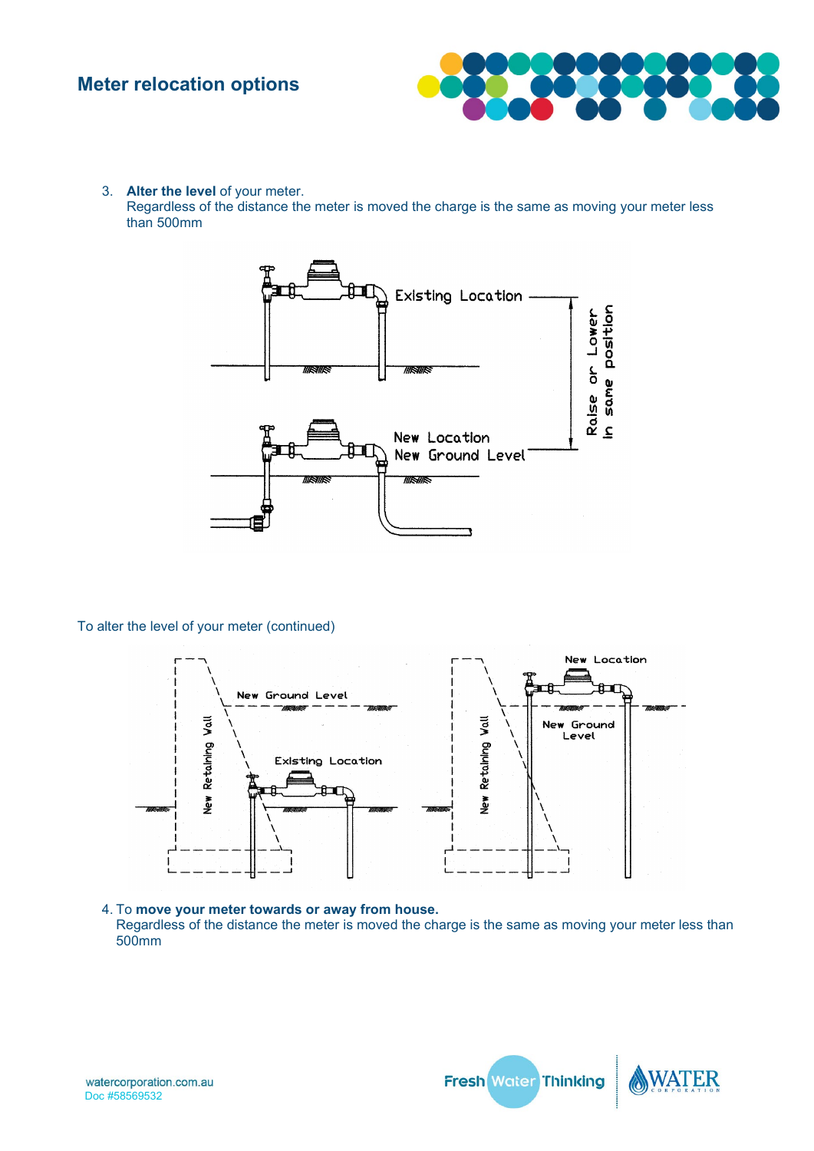

3. **Alter the level** of your meter. Regardless of the distance the meter is moved the charge is the same as moving your meter less than 500mm



To alter the level of your meter (continued)



4. To **move your meter towards or away from house.** Regardless of the distance the meter is moved the charge is the same as moving your meter less than 500mm



Fresh Water Thinking

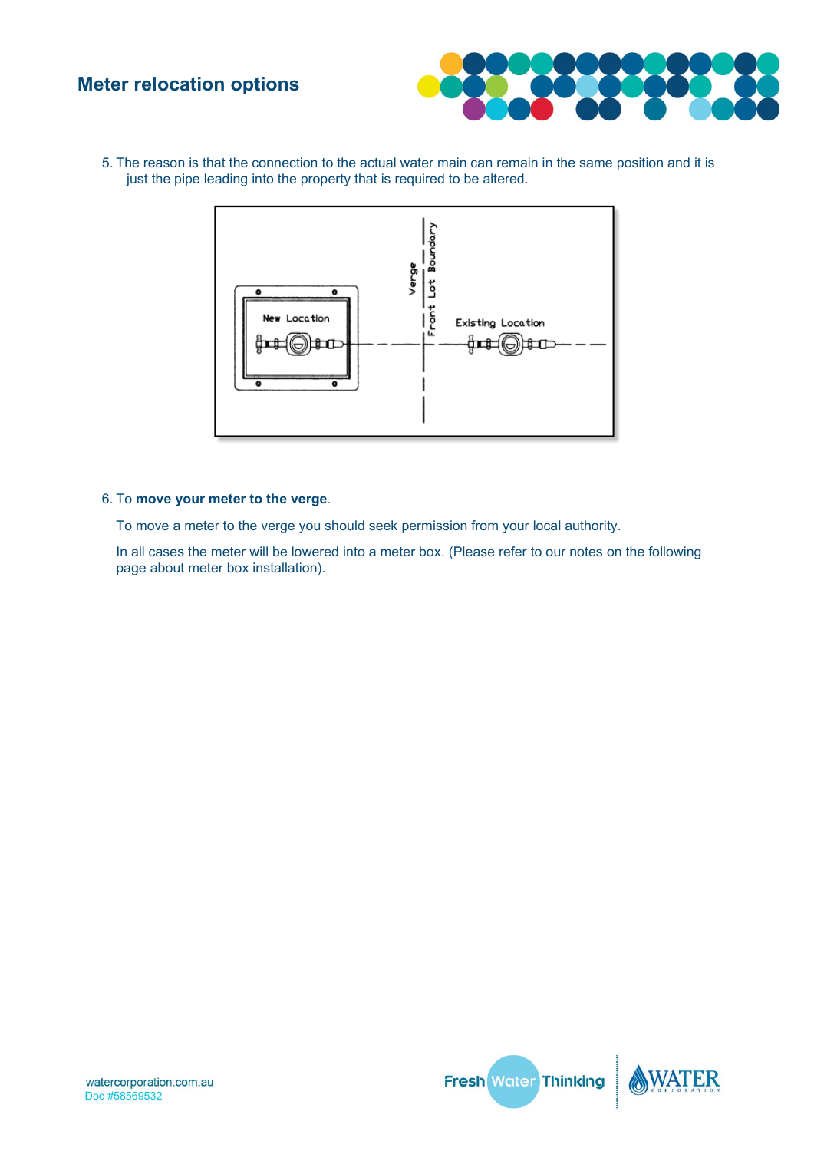

5. The reason is that the connection to the actual water main can remain in the same position and it is just the pipe leading into the property that is required to be altered.



#### 6. To **move your meter to the verge**.

To move a meter to the verge you should seek permission from your local authority.

In all cases the meter will be lowered into a meter box. (Please refer to our notes on the following page about meter box installation).



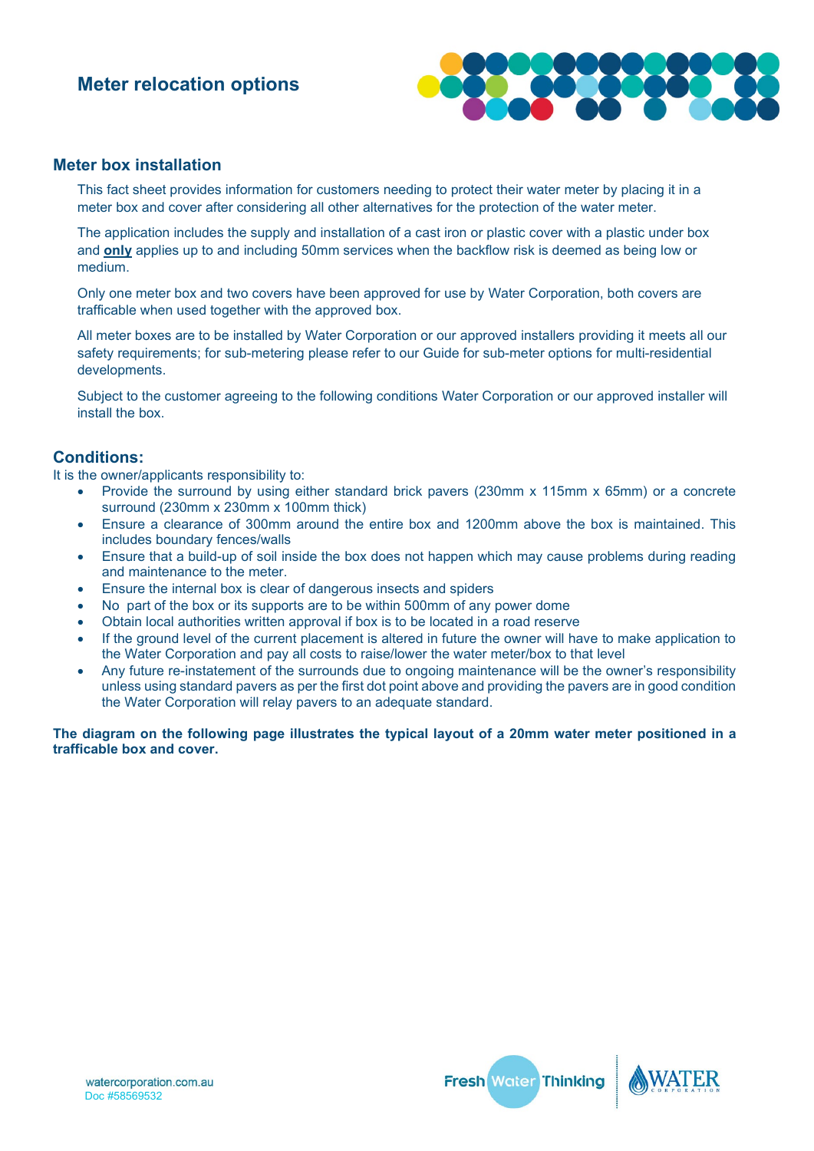

#### **Meter box installation**

This fact sheet provides information for customers needing to protect their water meter by placing it in a meter box and cover after considering all other alternatives for the protection of the water meter.

The application includes the supply and installation of a cast iron or plastic cover with a plastic under box and **only** applies up to and including 50mm services when the backflow risk is deemed as being low or medium.

Only one meter box and two covers have been approved for use by Water Corporation, both covers are trafficable when used together with the approved box.

All meter boxes are to be installed by Water Corporation or our approved installers providing it meets all our safety requirements; for sub-metering please refer to our Guide for sub-meter options for multi-residential developments.

Subject to the customer agreeing to the following conditions Water Corporation or our approved installer will install the box.

#### **Conditions:**

It is the owner/applicants responsibility to:

- Provide the surround by using either standard brick pavers (230mm x 115mm x 65mm) or a concrete surround (230mm x 230mm x 100mm thick)
- Ensure a clearance of 300mm around the entire box and 1200mm above the box is maintained. This includes boundary fences/walls
- Ensure that a build-up of soil inside the box does not happen which may cause problems during reading and maintenance to the meter.
- Ensure the internal box is clear of dangerous insects and spiders
- No part of the box or its supports are to be within 500mm of any power dome
- Obtain local authorities written approval if box is to be located in a road reserve
- If the ground level of the current placement is altered in future the owner will have to make application to the Water Corporation and pay all costs to raise/lower the water meter/box to that level
- Any future re-instatement of the surrounds due to ongoing maintenance will be the owner's responsibility unless using standard pavers as per the first dot point above and providing the pavers are in good condition the Water Corporation will relay pavers to an adequate standard.

**The diagram on the following page illustrates the typical layout of a 20mm water meter positioned in a trafficable box and cover.**



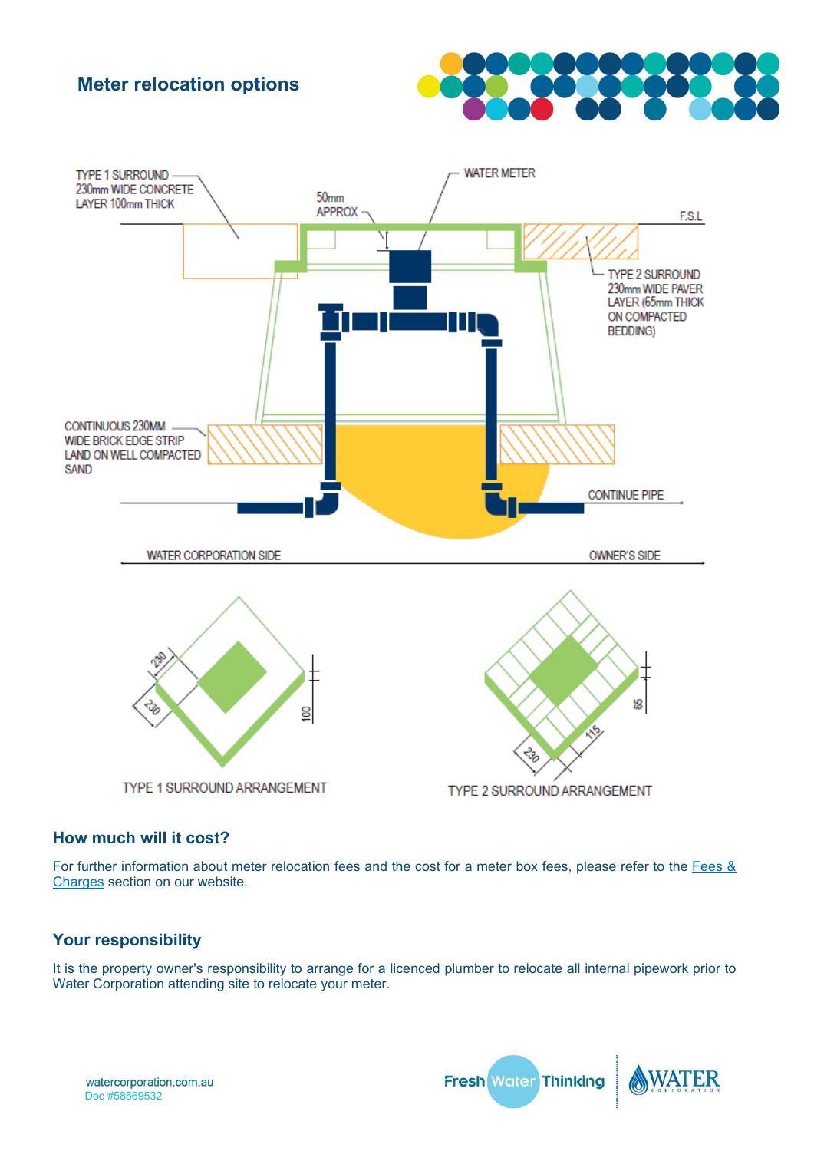



### **How much will it cost?**

For further information about meter relocation fees and the cost for a meter box fees, please refer to the [Fees &](https://www.watercorporation.com.au/home/builders-and-developers/building/fees-and-charges/water-supply-service-fees)  [Charges](https://www.watercorporation.com.au/home/builders-and-developers/building/fees-and-charges/water-supply-service-fees) section on our website.

### **Your responsibility**

It is the property owner's responsibility to arrange for a licenced plumber to relocate all internal pipework prior to Water Corporation attending site to relocate your meter.

Fresh Water Thinking

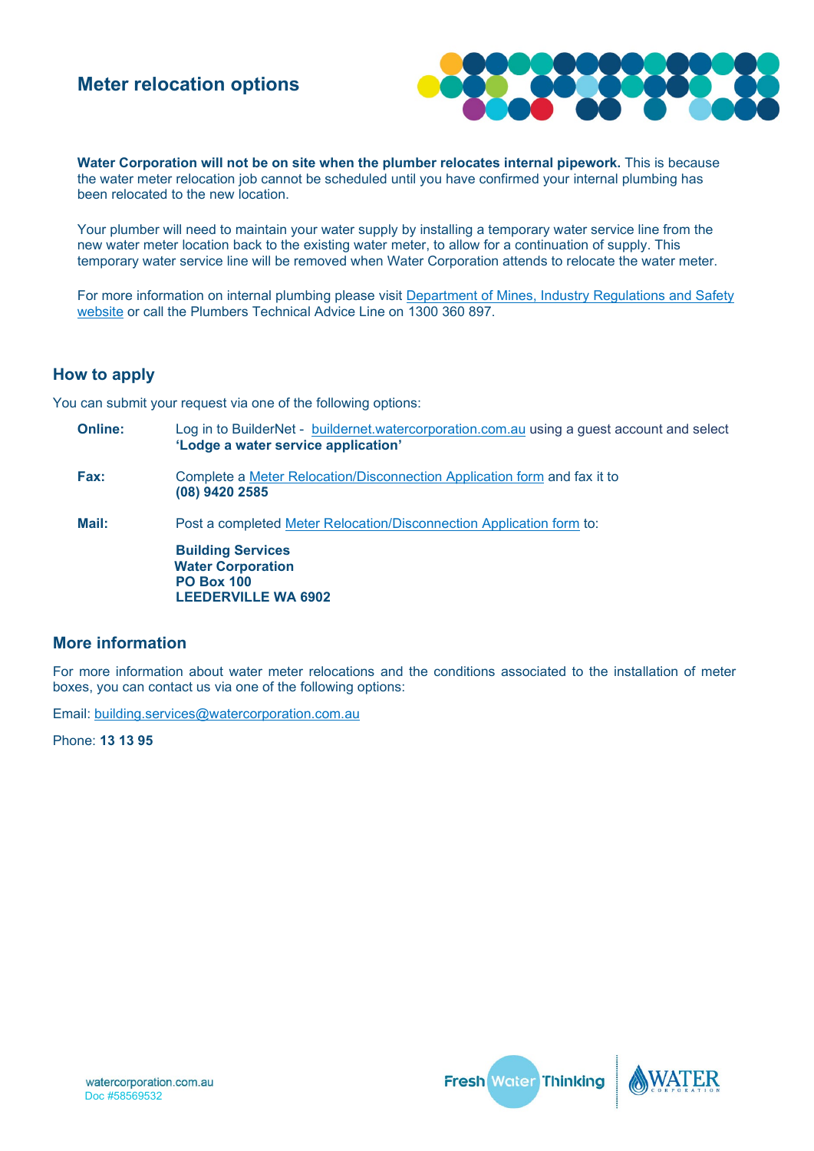

**Water Corporation will not be on site when the plumber relocates internal pipework.** This is because the water meter relocation job cannot be scheduled until you have confirmed your internal plumbing has been relocated to the new location.

Your plumber will need to maintain your water supply by installing a temporary water service line from the new water meter location back to the existing water meter, to allow for a continuation of supply. This temporary water service line will be removed when Water Corporation attends to relocate the water meter.

For more information on internal plumbing please visit [Department of Mines, Industry Regulations](https://www.dmirs.wa.gov.au/) and Safety [website](https://www.dmirs.wa.gov.au/) or call the Plumbers Technical Advice Line on 1300 360 897.

### **How to apply**

You can submit your request via one of the following options:

**Online:** Log in to BuilderNet - [buildernet.watercorporation.com.au](https://buildernet.watercorporation.com.au/bn/WaterApplication.do) using a guest account and select **'Lodge a water service application' Fax:** Complete a [Meter Relocation/Disconnection Application form](https://pw-cdn.watercorporation.com.au/-/media/WaterCorp/Documents/Developing-and-Building/Building/Meter-relocation---disconnection-application-form.pdf?rev=c4886765b1db4adaa6136324f05f37c7&hash=BD626CEAA70147E4BB55350D2A4AB927) and fax it to **(08) 9420 2585 Mail:** Post a completed [Meter Relocation/Disconnection Application form](https://pw-cdn.watercorporation.com.au/-/media/WaterCorp/Documents/Developing-and-Building/Building/Meter-relocation---disconnection-application-form.pdf?rev=c4886765b1db4adaa6136324f05f37c7&hash=BD626CEAA70147E4BB55350D2A4AB927) to: **Building Services Water Corporation PO Box 100 LEEDERVILLE WA 6902**

### **More information**

For more information about water meter relocations and the conditions associated to the installation of meter boxes, you can contact us via one of the following options:

Email: [building.services@watercorporation.com.au](mailto::building.services@watercorporation.com.au?subject=Meter%20Relocation)

Phone: **13 13 95**